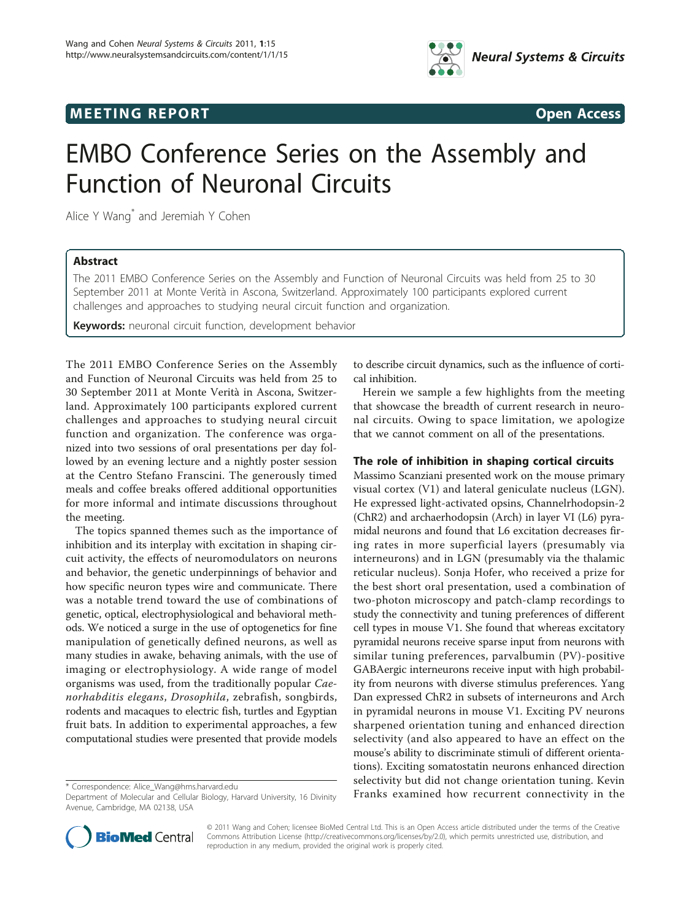

## **MEETING REPORT CONSUMING A REPORT** And the set of the set of the set of the set of the set of the set of the set of the set of the set of the set of the set of the set of the set of the set of the set of the set of the se



# EMBO Conference Series on the Assembly and Function of Neuronal Circuits

Alice Y Wang\* and Jeremiah Y Cohen

## Abstract

The 2011 EMBO Conference Series on the Assembly and Function of Neuronal Circuits was held from 25 to 30 September 2011 at Monte Verità in Ascona, Switzerland. Approximately 100 participants explored current challenges and approaches to studying neural circuit function and organization.

Keywords: neuronal circuit function, development behavior

The 2011 EMBO Conference Series on the Assembly and Function of Neuronal Circuits was held from 25 to 30 September 2011 at Monte Verità in Ascona, Switzerland. Approximately 100 participants explored current challenges and approaches to studying neural circuit function and organization. The conference was organized into two sessions of oral presentations per day followed by an evening lecture and a nightly poster session at the Centro Stefano Franscini. The generously timed meals and coffee breaks offered additional opportunities for more informal and intimate discussions throughout the meeting.

The topics spanned themes such as the importance of inhibition and its interplay with excitation in shaping circuit activity, the effects of neuromodulators on neurons and behavior, the genetic underpinnings of behavior and how specific neuron types wire and communicate. There was a notable trend toward the use of combinations of genetic, optical, electrophysiological and behavioral methods. We noticed a surge in the use of optogenetics for fine manipulation of genetically defined neurons, as well as many studies in awake, behaving animals, with the use of imaging or electrophysiology. A wide range of model organisms was used, from the traditionally popular Caenorhabditis elegans, Drosophila, zebrafish, songbirds, rodents and macaques to electric fish, turtles and Egyptian fruit bats. In addition to experimental approaches, a few computational studies were presented that provide models

to describe circuit dynamics, such as the influence of cortical inhibition.

Herein we sample a few highlights from the meeting that showcase the breadth of current research in neuronal circuits. Owing to space limitation, we apologize that we cannot comment on all of the presentations.

#### The role of inhibition in shaping cortical circuits

Massimo Scanziani presented work on the mouse primary visual cortex (V1) and lateral geniculate nucleus (LGN). He expressed light-activated opsins, Channelrhodopsin-2 (ChR2) and archaerhodopsin (Arch) in layer VI (L6) pyramidal neurons and found that L6 excitation decreases firing rates in more superficial layers (presumably via interneurons) and in LGN (presumably via the thalamic reticular nucleus). Sonja Hofer, who received a prize for the best short oral presentation, used a combination of two-photon microscopy and patch-clamp recordings to study the connectivity and tuning preferences of different cell types in mouse V1. She found that whereas excitatory pyramidal neurons receive sparse input from neurons with similar tuning preferences, parvalbumin (PV)-positive GABAergic interneurons receive input with high probability from neurons with diverse stimulus preferences. Yang Dan expressed ChR2 in subsets of interneurons and Arch in pyramidal neurons in mouse V1. Exciting PV neurons sharpened orientation tuning and enhanced direction selectivity (and also appeared to have an effect on the mouse's ability to discriminate stimuli of different orientations). Exciting somatostatin neurons enhanced direction selectivity but did not change orientation tuning. Kevin Executivity but did not charge orientation turning. Kevint<br>Department of Molecular and Cellular Biology Harvard University 16 Divinity **Franks examined how recurrent connectivity in the** 



© 2011 Wang and Cohen; licensee BioMed Central Ltd. This is an Open Access article distributed under the terms of the Creative Commons Attribution License [\(http://creativecommons.org/licenses/by/2.0](http://creativecommons.org/licenses/by/2.0)), which permits unrestricted use, distribution, and reproduction in any medium, provided the original work is properly cited.

Department of Molecular and Cellular Biology, Harvard University, 16 Divinity Avenue, Cambridge, MA 02138, USA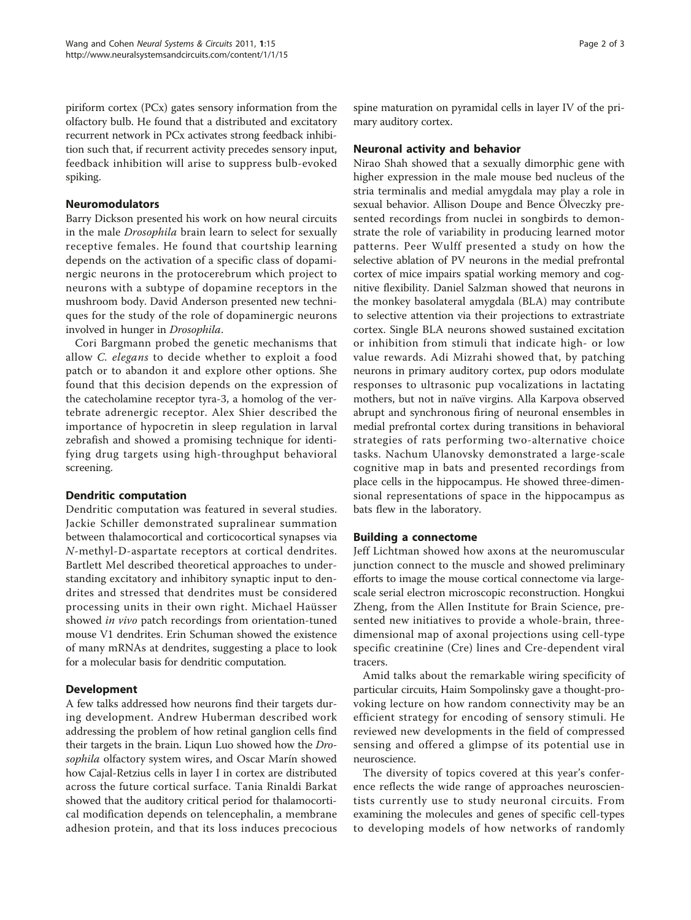piriform cortex (PCx) gates sensory information from the olfactory bulb. He found that a distributed and excitatory recurrent network in PCx activates strong feedback inhibition such that, if recurrent activity precedes sensory input, feedback inhibition will arise to suppress bulb-evoked spiking.

## Neuromodulators

Barry Dickson presented his work on how neural circuits in the male Drosophila brain learn to select for sexually receptive females. He found that courtship learning depends on the activation of a specific class of dopaminergic neurons in the protocerebrum which project to neurons with a subtype of dopamine receptors in the mushroom body. David Anderson presented new techniques for the study of the role of dopaminergic neurons involved in hunger in Drosophila.

Cori Bargmann probed the genetic mechanisms that allow C. elegans to decide whether to exploit a food patch or to abandon it and explore other options. She found that this decision depends on the expression of the catecholamine receptor tyra-3, a homolog of the vertebrate adrenergic receptor. Alex Shier described the importance of hypocretin in sleep regulation in larval zebrafish and showed a promising technique for identifying drug targets using high-throughput behavioral screening.

## Dendritic computation

Dendritic computation was featured in several studies. Jackie Schiller demonstrated supralinear summation between thalamocortical and corticocortical synapses via N-methyl-D-aspartate receptors at cortical dendrites. Bartlett Mel described theoretical approaches to understanding excitatory and inhibitory synaptic input to dendrites and stressed that dendrites must be considered processing units in their own right. Michael Haüsser showed in vivo patch recordings from orientation-tuned mouse V1 dendrites. Erin Schuman showed the existence of many mRNAs at dendrites, suggesting a place to look for a molecular basis for dendritic computation.

## Development

A few talks addressed how neurons find their targets during development. Andrew Huberman described work addressing the problem of how retinal ganglion cells find their targets in the brain. Liqun Luo showed how the Drosophila olfactory system wires, and Oscar Marín showed how Cajal-Retzius cells in layer I in cortex are distributed across the future cortical surface. Tania Rinaldi Barkat showed that the auditory critical period for thalamocortical modification depends on telencephalin, a membrane adhesion protein, and that its loss induces precocious spine maturation on pyramidal cells in layer IV of the primary auditory cortex.

## Neuronal activity and behavior

Nirao Shah showed that a sexually dimorphic gene with higher expression in the male mouse bed nucleus of the stria terminalis and medial amygdala may play a role in sexual behavior. Allison Doupe and Bence Ölveczky presented recordings from nuclei in songbirds to demonstrate the role of variability in producing learned motor patterns. Peer Wulff presented a study on how the selective ablation of PV neurons in the medial prefrontal cortex of mice impairs spatial working memory and cognitive flexibility. Daniel Salzman showed that neurons in the monkey basolateral amygdala (BLA) may contribute to selective attention via their projections to extrastriate cortex. Single BLA neurons showed sustained excitation or inhibition from stimuli that indicate high- or low value rewards. Adi Mizrahi showed that, by patching neurons in primary auditory cortex, pup odors modulate responses to ultrasonic pup vocalizations in lactating mothers, but not in naïve virgins. Alla Karpova observed abrupt and synchronous firing of neuronal ensembles in medial prefrontal cortex during transitions in behavioral strategies of rats performing two-alternative choice tasks. Nachum Ulanovsky demonstrated a large-scale cognitive map in bats and presented recordings from place cells in the hippocampus. He showed three-dimensional representations of space in the hippocampus as bats flew in the laboratory.

## Building a connectome

Jeff Lichtman showed how axons at the neuromuscular junction connect to the muscle and showed preliminary efforts to image the mouse cortical connectome via largescale serial electron microscopic reconstruction. Hongkui Zheng, from the Allen Institute for Brain Science, presented new initiatives to provide a whole-brain, threedimensional map of axonal projections using cell-type specific creatinine (Cre) lines and Cre-dependent viral tracers.

Amid talks about the remarkable wiring specificity of particular circuits, Haim Sompolinsky gave a thought-provoking lecture on how random connectivity may be an efficient strategy for encoding of sensory stimuli. He reviewed new developments in the field of compressed sensing and offered a glimpse of its potential use in neuroscience.

The diversity of topics covered at this year's conference reflects the wide range of approaches neuroscientists currently use to study neuronal circuits. From examining the molecules and genes of specific cell-types to developing models of how networks of randomly